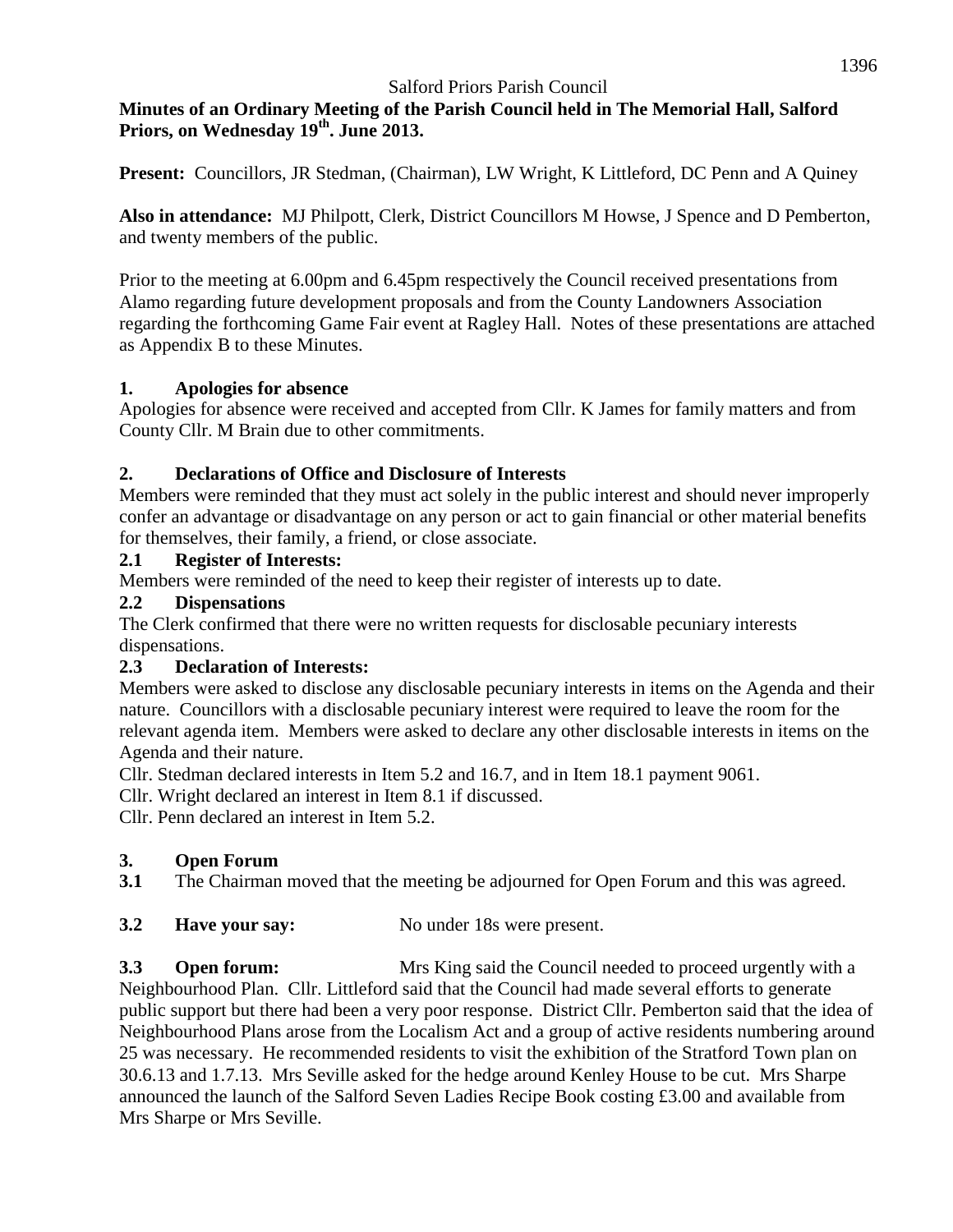## **Minutes of an Ordinary Meeting of the Parish Council held in The Memorial Hall, Salford Priors, on Wednesday 19 th . June 2013.**

**Present:** Councillors, JR Stedman, (Chairman), LW Wright, K Littleford, DC Penn and A Quiney

**Also in attendance:** MJ Philpott, Clerk, District Councillors M Howse, J Spence and D Pemberton, and twenty members of the public.

Prior to the meeting at 6.00pm and 6.45pm respectively the Council received presentations from Alamo regarding future development proposals and from the County Landowners Association regarding the forthcoming Game Fair event at Ragley Hall. Notes of these presentations are attached as Appendix B to these Minutes.

#### **1. Apologies for absence**

Apologies for absence were received and accepted from Cllr. K James for family matters and from County Cllr. M Brain due to other commitments.

### **2. Declarations of Office and Disclosure of Interests**

Members were reminded that they must act solely in the public interest and should never improperly confer an advantage or disadvantage on any person or act to gain financial or other material benefits for themselves, their family, a friend, or close associate.

#### **2.1 Register of Interests:**

Members were reminded of the need to keep their register of interests up to date.

#### **2.2 Dispensations**

The Clerk confirmed that there were no written requests for disclosable pecuniary interests dispensations.

### **2.3 Declaration of Interests:**

Members were asked to disclose any disclosable pecuniary interests in items on the Agenda and their nature. Councillors with a disclosable pecuniary interest were required to leave the room for the relevant agenda item. Members were asked to declare any other disclosable interests in items on the Agenda and their nature.

Cllr. Stedman declared interests in Item 5.2 and 16.7, and in Item 18.1 payment 9061.

Cllr. Wright declared an interest in Item 8.1 if discussed.

Cllr. Penn declared an interest in Item 5.2.

### **3. Open Forum**

**3.1** The Chairman moved that the meeting be adjourned for Open Forum and this was agreed.

**3.2 Have your say:** No under 18s were present.

**3.3 Open forum:** Mrs King said the Council needed to proceed urgently with a Neighbourhood Plan. Cllr. Littleford said that the Council had made several efforts to generate public support but there had been a very poor response. District Cllr. Pemberton said that the idea of Neighbourhood Plans arose from the Localism Act and a group of active residents numbering around 25 was necessary. He recommended residents to visit the exhibition of the Stratford Town plan on 30.6.13 and 1.7.13. Mrs Seville asked for the hedge around Kenley House to be cut. Mrs Sharpe announced the launch of the Salford Seven Ladies Recipe Book costing £3.00 and available from Mrs Sharpe or Mrs Seville.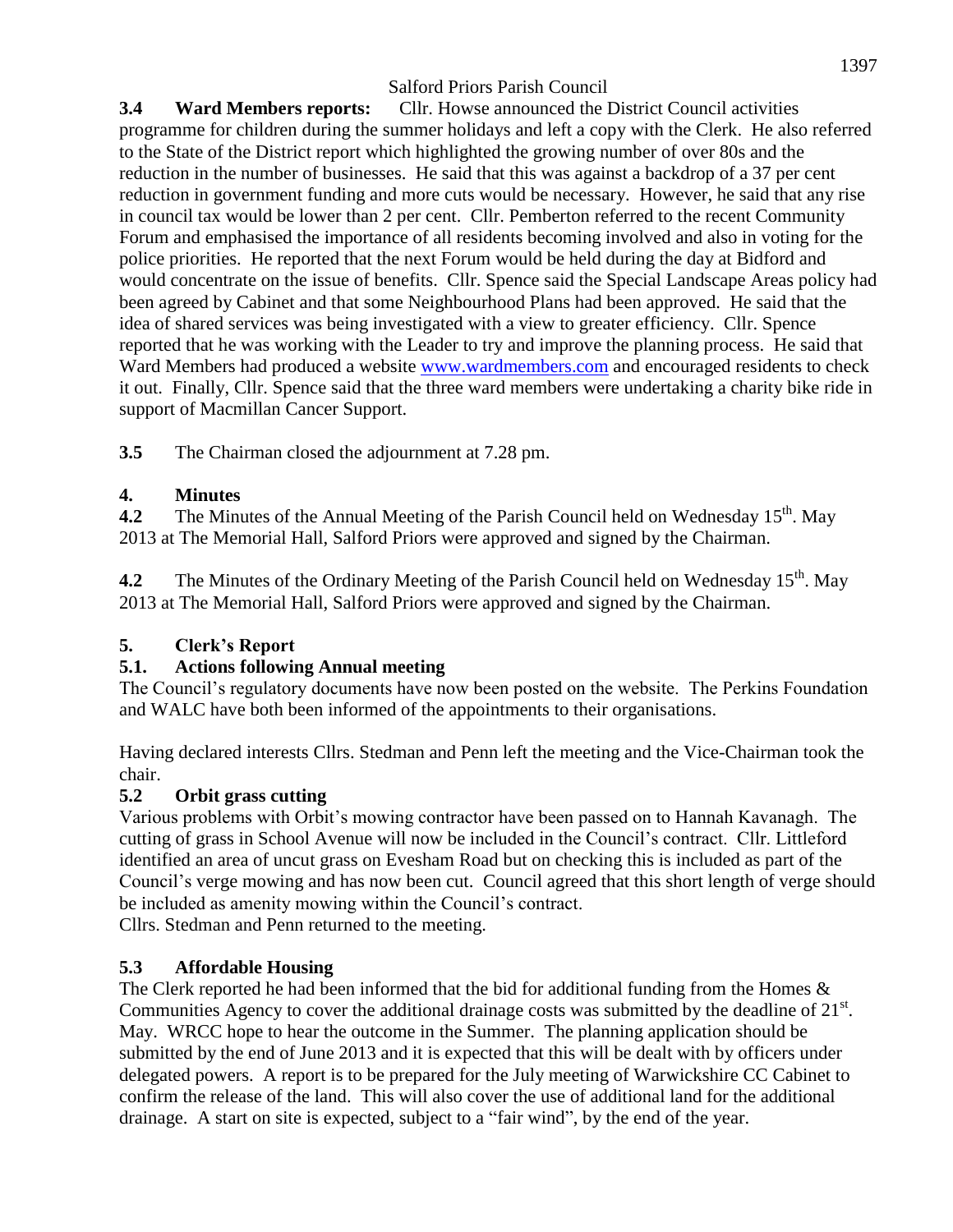**3.4 Ward Members reports:** Cllr. Howse announced the District Council activities programme for children during the summer holidays and left a copy with the Clerk. He also referred to the State of the District report which highlighted the growing number of over 80s and the reduction in the number of businesses. He said that this was against a backdrop of a 37 per cent reduction in government funding and more cuts would be necessary. However, he said that any rise in council tax would be lower than 2 per cent. Cllr. Pemberton referred to the recent Community Forum and emphasised the importance of all residents becoming involved and also in voting for the police priorities. He reported that the next Forum would be held during the day at Bidford and would concentrate on the issue of benefits. Cllr. Spence said the Special Landscape Areas policy had been agreed by Cabinet and that some Neighbourhood Plans had been approved. He said that the idea of shared services was being investigated with a view to greater efficiency. Cllr. Spence reported that he was working with the Leader to try and improve the planning process. He said that Ward Members had produced a website [www.wardmembers.com](http://www.wardmembers.com/) and encouraged residents to check it out. Finally, Cllr. Spence said that the three ward members were undertaking a charity bike ride in support of Macmillan Cancer Support.

**3.5** The Chairman closed the adjournment at 7.28 pm.

## **4. Minutes**

**4.2** The Minutes of the Annual Meeting of the Parish Council held on Wednesday 15<sup>th</sup>. May 2013 at The Memorial Hall, Salford Priors were approved and signed by the Chairman.

**4.2** The Minutes of the Ordinary Meeting of the Parish Council held on Wednesday 15<sup>th</sup>. May 2013 at The Memorial Hall, Salford Priors were approved and signed by the Chairman.

# **5. Clerk's Report**

# **5.1. Actions following Annual meeting**

The Council's regulatory documents have now been posted on the website. The Perkins Foundation and WALC have both been informed of the appointments to their organisations.

Having declared interests Cllrs. Stedman and Penn left the meeting and the Vice-Chairman took the chair.

### **5.2 Orbit grass cutting**

Various problems with Orbit's mowing contractor have been passed on to Hannah Kavanagh. The cutting of grass in School Avenue will now be included in the Council's contract. Cllr. Littleford identified an area of uncut grass on Evesham Road but on checking this is included as part of the Council's verge mowing and has now been cut. Council agreed that this short length of verge should be included as amenity mowing within the Council's contract.

Cllrs. Stedman and Penn returned to the meeting.

# **5.3 Affordable Housing**

The Clerk reported he had been informed that the bid for additional funding from the Homes & Communities Agency to cover the additional drainage costs was submitted by the deadline of  $21<sup>st</sup>$ . May. WRCC hope to hear the outcome in the Summer. The planning application should be submitted by the end of June 2013 and it is expected that this will be dealt with by officers under delegated powers. A report is to be prepared for the July meeting of Warwickshire CC Cabinet to confirm the release of the land. This will also cover the use of additional land for the additional drainage. A start on site is expected, subject to a "fair wind", by the end of the year.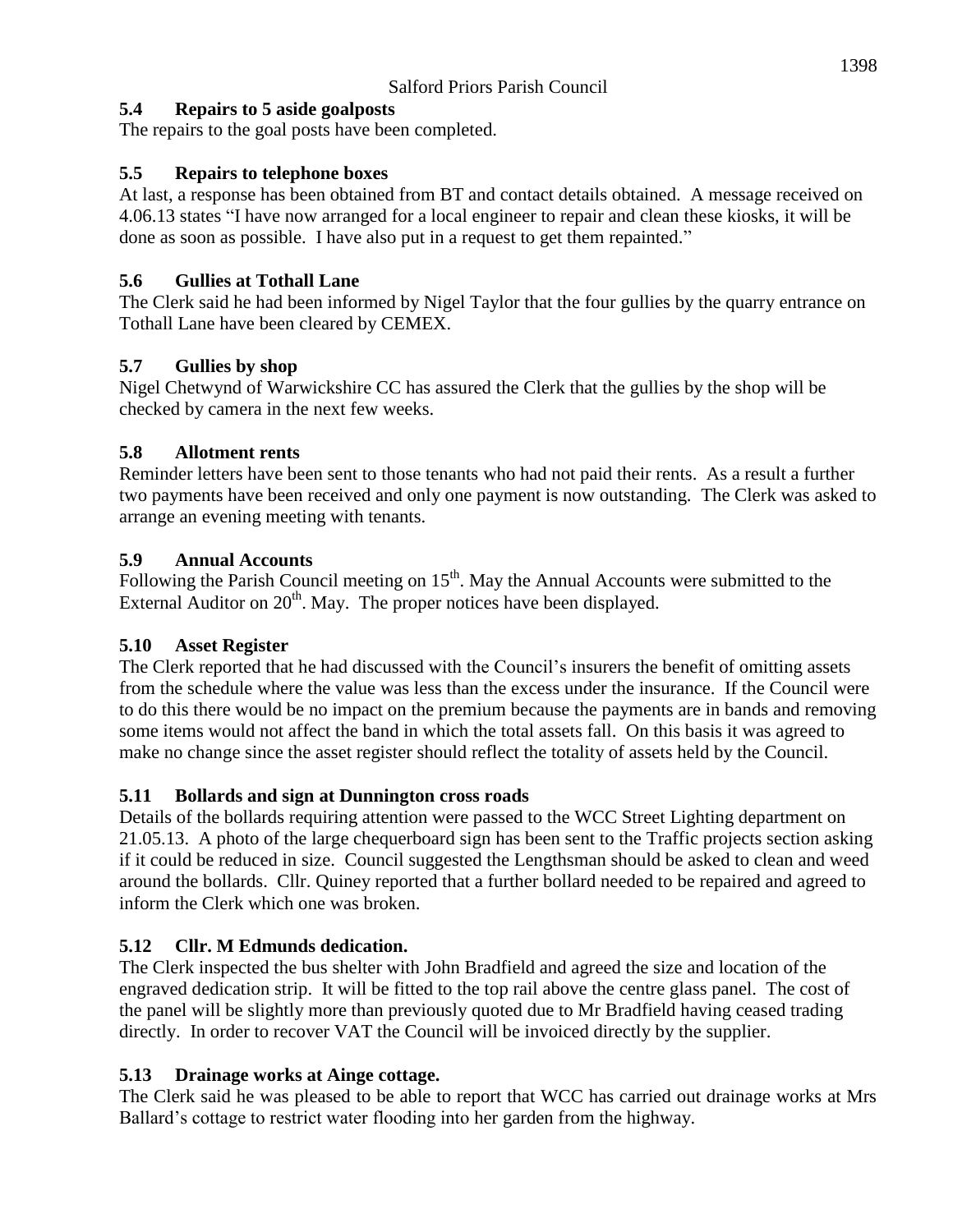# **5.4 Repairs to 5 aside goalposts**

The repairs to the goal posts have been completed.

# **5.5 Repairs to telephone boxes**

At last, a response has been obtained from BT and contact details obtained. A message received on 4.06.13 states "I have now arranged for a local engineer to repair and clean these kiosks, it will be done as soon as possible. I have also put in a request to get them repainted."

# **5.6 Gullies at Tothall Lane**

The Clerk said he had been informed by Nigel Taylor that the four gullies by the quarry entrance on Tothall Lane have been cleared by CEMEX.

# **5.7 Gullies by shop**

Nigel Chetwynd of Warwickshire CC has assured the Clerk that the gullies by the shop will be checked by camera in the next few weeks.

# **5.8 Allotment rents**

Reminder letters have been sent to those tenants who had not paid their rents. As a result a further two payments have been received and only one payment is now outstanding. The Clerk was asked to arrange an evening meeting with tenants.

# **5.9 Annual Accounts**

Following the Parish Council meeting on  $15<sup>th</sup>$ . May the Annual Accounts were submitted to the External Auditor on  $20<sup>th</sup>$ . May. The proper notices have been displayed.

# **5.10 Asset Register**

The Clerk reported that he had discussed with the Council's insurers the benefit of omitting assets from the schedule where the value was less than the excess under the insurance. If the Council were to do this there would be no impact on the premium because the payments are in bands and removing some items would not affect the band in which the total assets fall. On this basis it was agreed to make no change since the asset register should reflect the totality of assets held by the Council.

# **5.11 Bollards and sign at Dunnington cross roads**

Details of the bollards requiring attention were passed to the WCC Street Lighting department on 21.05.13. A photo of the large chequerboard sign has been sent to the Traffic projects section asking if it could be reduced in size. Council suggested the Lengthsman should be asked to clean and weed around the bollards. Cllr. Quiney reported that a further bollard needed to be repaired and agreed to inform the Clerk which one was broken.

# **5.12 Cllr. M Edmunds dedication.**

The Clerk inspected the bus shelter with John Bradfield and agreed the size and location of the engraved dedication strip. It will be fitted to the top rail above the centre glass panel. The cost of the panel will be slightly more than previously quoted due to Mr Bradfield having ceased trading directly. In order to recover VAT the Council will be invoiced directly by the supplier.

# **5.13 Drainage works at Ainge cottage.**

The Clerk said he was pleased to be able to report that WCC has carried out drainage works at Mrs Ballard's cottage to restrict water flooding into her garden from the highway.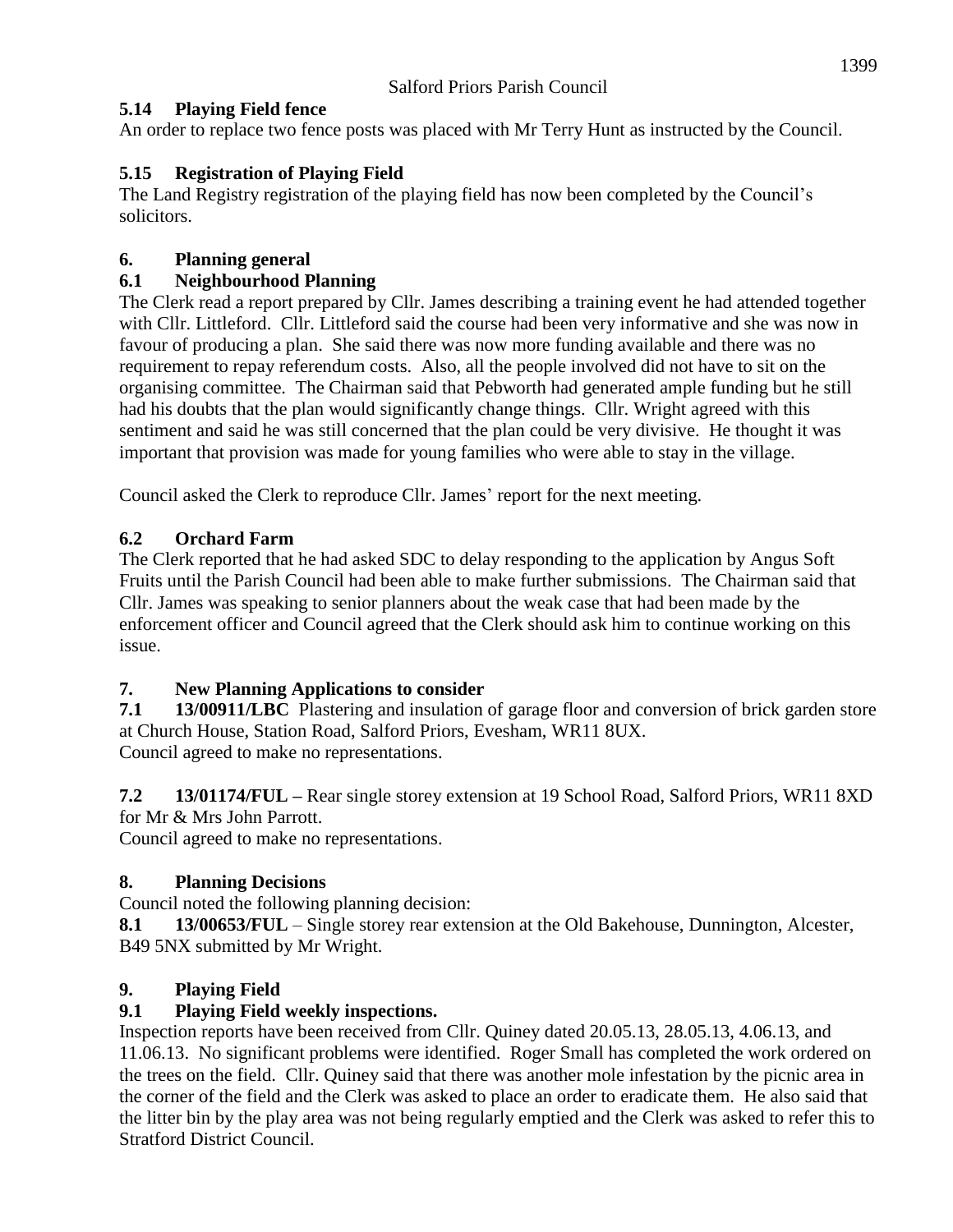## **5.14 Playing Field fence**

An order to replace two fence posts was placed with Mr Terry Hunt as instructed by the Council.

## **5.15 Registration of Playing Field**

The Land Registry registration of the playing field has now been completed by the Council's solicitors.

## **6. Planning general**

## **6.1 Neighbourhood Planning**

The Clerk read a report prepared by Cllr. James describing a training event he had attended together with Cllr. Littleford. Cllr. Littleford said the course had been very informative and she was now in favour of producing a plan. She said there was now more funding available and there was no requirement to repay referendum costs. Also, all the people involved did not have to sit on the organising committee. The Chairman said that Pebworth had generated ample funding but he still had his doubts that the plan would significantly change things. Cllr. Wright agreed with this sentiment and said he was still concerned that the plan could be very divisive. He thought it was important that provision was made for young families who were able to stay in the village.

Council asked the Clerk to reproduce Cllr. James' report for the next meeting.

# **6.2 Orchard Farm**

The Clerk reported that he had asked SDC to delay responding to the application by Angus Soft Fruits until the Parish Council had been able to make further submissions. The Chairman said that Cllr. James was speaking to senior planners about the weak case that had been made by the enforcement officer and Council agreed that the Clerk should ask him to continue working on this issue.

# **7. New Planning Applications to consider**

**7.1 13/00911/LBC** Plastering and insulation of garage floor and conversion of brick garden store at Church House, Station Road, Salford Priors, Evesham, WR11 8UX. Council agreed to make no representations.

**7.2 13/01174/FUL –** Rear single storey extension at 19 School Road, Salford Priors, WR11 8XD for Mr & Mrs John Parrott.

Council agreed to make no representations.

### **8. Planning Decisions**

Council noted the following planning decision:

**8.1 13/00653/FUL** – Single storey rear extension at the Old Bakehouse, Dunnington, Alcester, B49 5NX submitted by Mr Wright.

# **9. Playing Field**

### **9.1 Playing Field weekly inspections.**

Inspection reports have been received from Cllr. Quiney dated 20.05.13, 28.05.13, 4.06.13, and 11.06.13. No significant problems were identified. Roger Small has completed the work ordered on the trees on the field. Cllr. Quiney said that there was another mole infestation by the picnic area in the corner of the field and the Clerk was asked to place an order to eradicate them. He also said that the litter bin by the play area was not being regularly emptied and the Clerk was asked to refer this to Stratford District Council.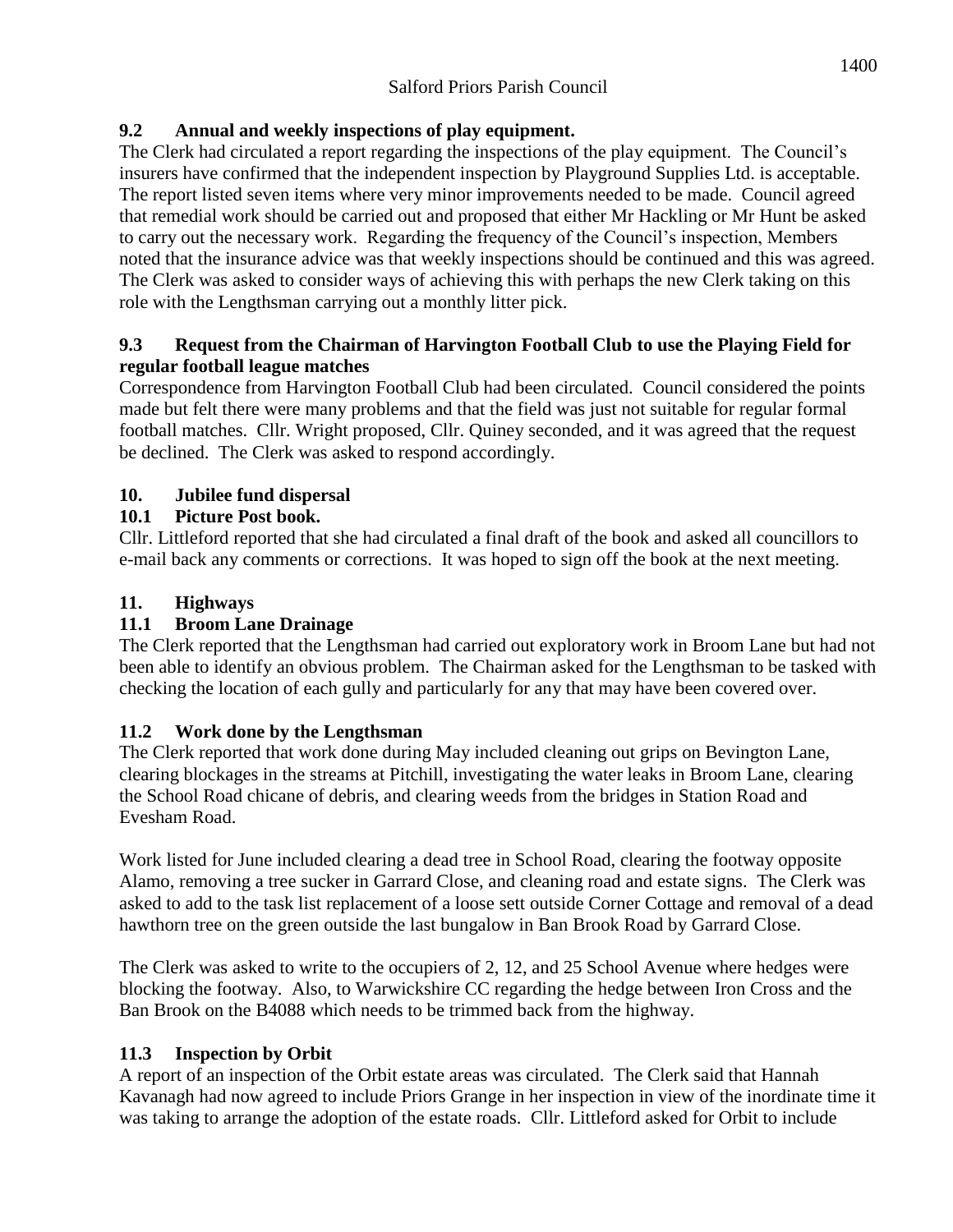#### **9.2 Annual and weekly inspections of play equipment.**

The Clerk had circulated a report regarding the inspections of the play equipment. The Council's insurers have confirmed that the independent inspection by Playground Supplies Ltd. is acceptable. The report listed seven items where very minor improvements needed to be made. Council agreed that remedial work should be carried out and proposed that either Mr Hackling or Mr Hunt be asked to carry out the necessary work. Regarding the frequency of the Council's inspection, Members noted that the insurance advice was that weekly inspections should be continued and this was agreed. The Clerk was asked to consider ways of achieving this with perhaps the new Clerk taking on this role with the Lengthsman carrying out a monthly litter pick.

#### **9.3 Request from the Chairman of Harvington Football Club to use the Playing Field for regular football league matches**

Correspondence from Harvington Football Club had been circulated. Council considered the points made but felt there were many problems and that the field was just not suitable for regular formal football matches. Cllr. Wright proposed, Cllr. Quiney seconded, and it was agreed that the request be declined. The Clerk was asked to respond accordingly.

#### **10. Jubilee fund dispersal**

#### **10.1 Picture Post book.**

Cllr. Littleford reported that she had circulated a final draft of the book and asked all councillors to e-mail back any comments or corrections. It was hoped to sign off the book at the next meeting.

#### **11. Highways**

#### **11.1 Broom Lane Drainage**

The Clerk reported that the Lengthsman had carried out exploratory work in Broom Lane but had not been able to identify an obvious problem. The Chairman asked for the Lengthsman to be tasked with checking the location of each gully and particularly for any that may have been covered over.

#### **11.2 Work done by the Lengthsman**

The Clerk reported that work done during May included cleaning out grips on Bevington Lane, clearing blockages in the streams at Pitchill, investigating the water leaks in Broom Lane, clearing the School Road chicane of debris, and clearing weeds from the bridges in Station Road and Evesham Road.

Work listed for June included clearing a dead tree in School Road, clearing the footway opposite Alamo, removing a tree sucker in Garrard Close, and cleaning road and estate signs. The Clerk was asked to add to the task list replacement of a loose sett outside Corner Cottage and removal of a dead hawthorn tree on the green outside the last bungalow in Ban Brook Road by Garrard Close.

The Clerk was asked to write to the occupiers of 2, 12, and 25 School Avenue where hedges were blocking the footway. Also, to Warwickshire CC regarding the hedge between Iron Cross and the Ban Brook on the B4088 which needs to be trimmed back from the highway.

#### **11.3 Inspection by Orbit**

A report of an inspection of the Orbit estate areas was circulated. The Clerk said that Hannah Kavanagh had now agreed to include Priors Grange in her inspection in view of the inordinate time it was taking to arrange the adoption of the estate roads. Cllr. Littleford asked for Orbit to include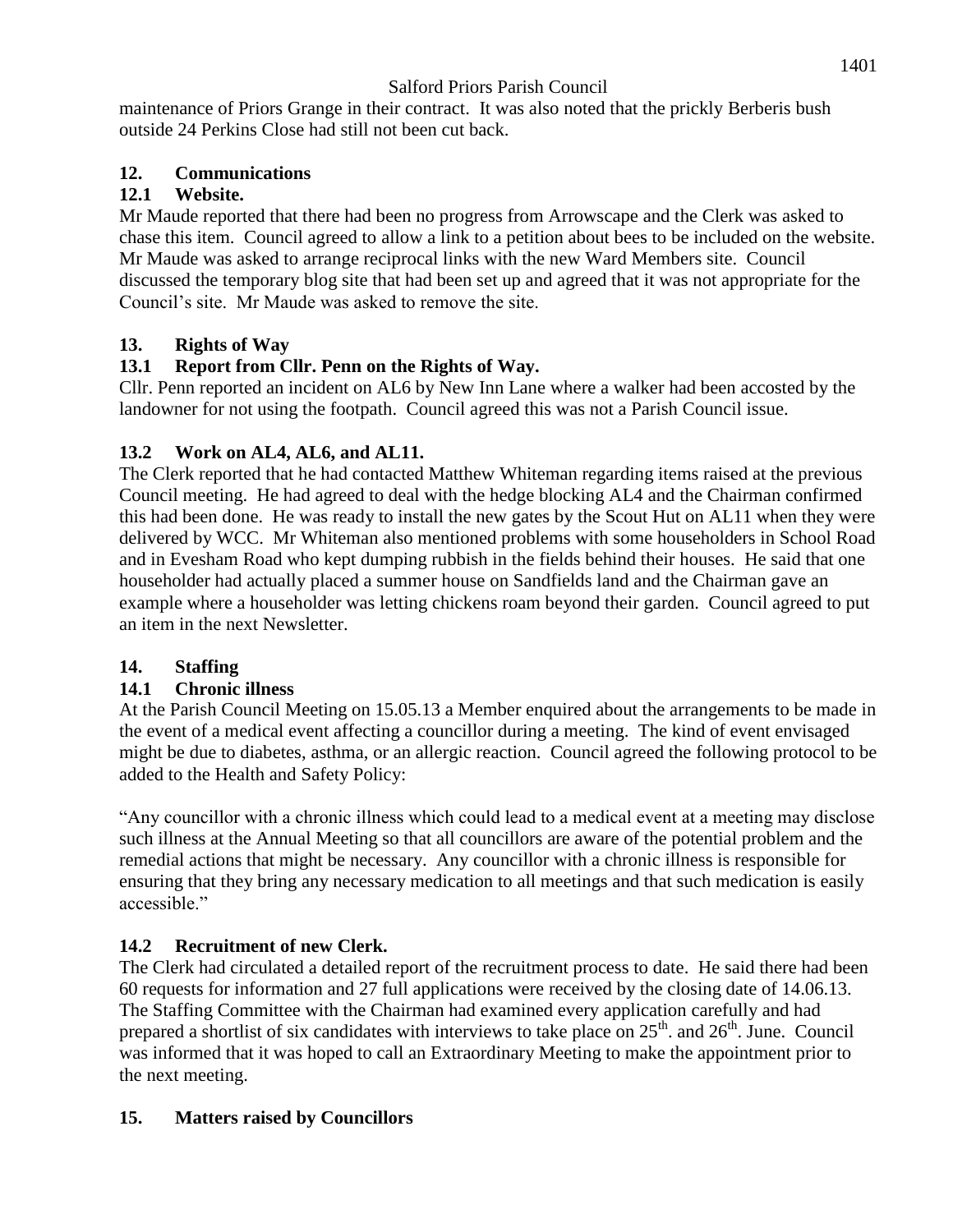maintenance of Priors Grange in their contract. It was also noted that the prickly Berberis bush outside 24 Perkins Close had still not been cut back.

## **12. Communications**

## **12.1 Website.**

Mr Maude reported that there had been no progress from Arrowscape and the Clerk was asked to chase this item. Council agreed to allow a link to a petition about bees to be included on the website. Mr Maude was asked to arrange reciprocal links with the new Ward Members site. Council discussed the temporary blog site that had been set up and agreed that it was not appropriate for the Council's site. Mr Maude was asked to remove the site.

## **13. Rights of Way**

## **13.1 Report from Cllr. Penn on the Rights of Way.**

Cllr. Penn reported an incident on AL6 by New Inn Lane where a walker had been accosted by the landowner for not using the footpath. Council agreed this was not a Parish Council issue.

## **13.2 Work on AL4, AL6, and AL11.**

The Clerk reported that he had contacted Matthew Whiteman regarding items raised at the previous Council meeting. He had agreed to deal with the hedge blocking AL4 and the Chairman confirmed this had been done. He was ready to install the new gates by the Scout Hut on AL11 when they were delivered by WCC. Mr Whiteman also mentioned problems with some householders in School Road and in Evesham Road who kept dumping rubbish in the fields behind their houses. He said that one householder had actually placed a summer house on Sandfields land and the Chairman gave an example where a householder was letting chickens roam beyond their garden. Council agreed to put an item in the next Newsletter.

### **14. Staffing**

### **14.1 Chronic illness**

At the Parish Council Meeting on 15.05.13 a Member enquired about the arrangements to be made in the event of a medical event affecting a councillor during a meeting. The kind of event envisaged might be due to diabetes, asthma, or an allergic reaction. Council agreed the following protocol to be added to the Health and Safety Policy:

"Any councillor with a chronic illness which could lead to a medical event at a meeting may disclose such illness at the Annual Meeting so that all councillors are aware of the potential problem and the remedial actions that might be necessary. Any councillor with a chronic illness is responsible for ensuring that they bring any necessary medication to all meetings and that such medication is easily accessible."

# **14.2 Recruitment of new Clerk.**

The Clerk had circulated a detailed report of the recruitment process to date. He said there had been 60 requests for information and 27 full applications were received by the closing date of 14.06.13. The Staffing Committee with the Chairman had examined every application carefully and had prepared a shortlist of six candidates with interviews to take place on  $25<sup>th</sup>$ . and  $26<sup>th</sup>$ . June. Council was informed that it was hoped to call an Extraordinary Meeting to make the appointment prior to the next meeting.

# **15. Matters raised by Councillors**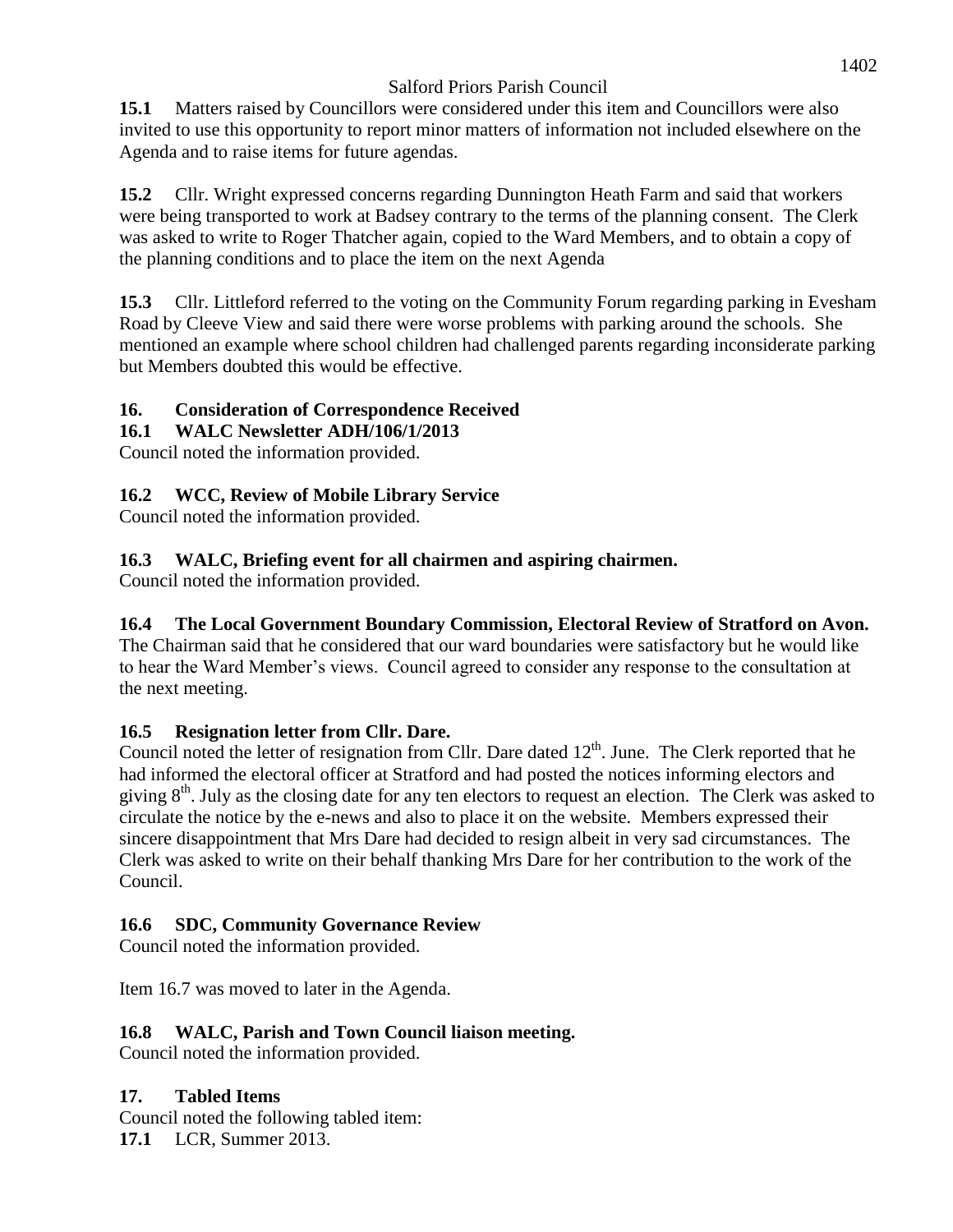**15.1** Matters raised by Councillors were considered under this item and Councillors were also invited to use this opportunity to report minor matters of information not included elsewhere on the Agenda and to raise items for future agendas.

**15.2** Cllr. Wright expressed concerns regarding Dunnington Heath Farm and said that workers were being transported to work at Badsey contrary to the terms of the planning consent. The Clerk was asked to write to Roger Thatcher again, copied to the Ward Members, and to obtain a copy of the planning conditions and to place the item on the next Agenda

**15.3** Cllr. Littleford referred to the voting on the Community Forum regarding parking in Evesham Road by Cleeve View and said there were worse problems with parking around the schools. She mentioned an example where school children had challenged parents regarding inconsiderate parking but Members doubted this would be effective.

# **16. Consideration of Correspondence Received**

## **16.1 WALC Newsletter ADH/106/1/2013**

Council noted the information provided.

## **16.2 WCC, Review of Mobile Library Service**

Council noted the information provided.

## **16.3 WALC, Briefing event for all chairmen and aspiring chairmen.**

Council noted the information provided.

## **16.4 The Local Government Boundary Commission, Electoral Review of Stratford on Avon.**

The Chairman said that he considered that our ward boundaries were satisfactory but he would like to hear the Ward Member's views. Council agreed to consider any response to the consultation at the next meeting.

### **16.5 Resignation letter from Cllr. Dare.**

Council noted the letter of resignation from Cllr. Dare dated  $12<sup>th</sup>$ . June. The Clerk reported that he had informed the electoral officer at Stratford and had posted the notices informing electors and giving 8th. July as the closing date for any ten electors to request an election. The Clerk was asked to circulate the notice by the e-news and also to place it on the website. Members expressed their sincere disappointment that Mrs Dare had decided to resign albeit in very sad circumstances. The Clerk was asked to write on their behalf thanking Mrs Dare for her contribution to the work of the Council.

### **16.6 SDC, Community Governance Review**

Council noted the information provided.

Item 16.7 was moved to later in the Agenda.

### **16.8 WALC, Parish and Town Council liaison meeting.**

Council noted the information provided.

### **17. Tabled Items**

Council noted the following tabled item: **17.1** LCR, Summer 2013.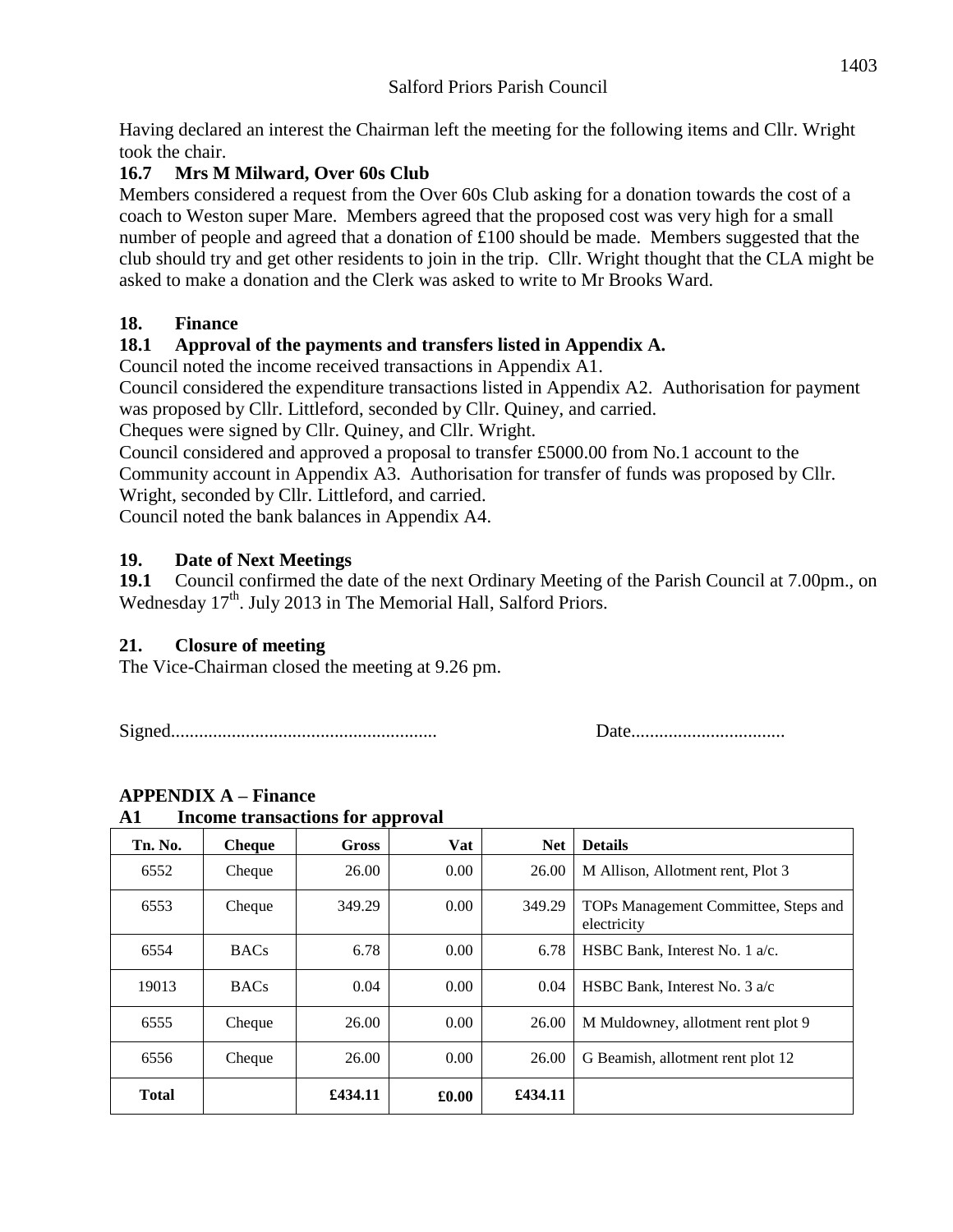Having declared an interest the Chairman left the meeting for the following items and Cllr. Wright took the chair.

### **16.7 Mrs M Milward, Over 60s Club**

Members considered a request from the Over 60s Club asking for a donation towards the cost of a coach to Weston super Mare. Members agreed that the proposed cost was very high for a small number of people and agreed that a donation of £100 should be made. Members suggested that the club should try and get other residents to join in the trip. Cllr. Wright thought that the CLA might be asked to make a donation and the Clerk was asked to write to Mr Brooks Ward.

## **18. Finance**

## **18.1 Approval of the payments and transfers listed in Appendix A.**

Council noted the income received transactions in Appendix A1.

Council considered the expenditure transactions listed in Appendix A2. Authorisation for payment was proposed by Cllr. Littleford, seconded by Cllr. Quiney, and carried.

Cheques were signed by Cllr. Quiney, and Cllr. Wright.

Council considered and approved a proposal to transfer £5000.00 from No.1 account to the Community account in Appendix A3. Authorisation for transfer of funds was proposed by Cllr. Wright, seconded by Cllr. Littleford, and carried.

Council noted the bank balances in Appendix A4.

## **19. Date of Next Meetings**

**19.1** Council confirmed the date of the next Ordinary Meeting of the Parish Council at 7.00pm., on Wednesday 17<sup>th</sup>. July 2013 in The Memorial Hall, Salford Priors.

### **21. Closure of meeting**

The Vice-Chairman closed the meeting at 9.26 pm.

Signed......................................................... Date.................................

# **APPENDIX A – Finance**

| Tn. No.      | <b>Cheque</b> | <b>Gross</b> | Vat   | <b>Net</b> | <b>Details</b>                                      |
|--------------|---------------|--------------|-------|------------|-----------------------------------------------------|
| 6552         | Cheque        | 26.00        | 0.00  | 26.00      | M Allison, Allotment rent, Plot 3                   |
| 6553         | Cheque        | 349.29       | 0.00  | 349.29     | TOPs Management Committee, Steps and<br>electricity |
| 6554         | <b>BACs</b>   | 6.78         | 0.00  | 6.78       | HSBC Bank, Interest No. 1 a/c.                      |
| 19013        | <b>BACs</b>   | 0.04         | 0.00  | 0.04       | HSBC Bank, Interest No. 3 a/c                       |
| 6555         | Cheque        | 26.00        | 0.00  | 26.00      | M Muldowney, allotment rent plot 9                  |
| 6556         | Cheque        | 26.00        | 0.00  | 26.00      | G Beamish, allotment rent plot 12                   |
| <b>Total</b> |               | £434.11      | £0.00 | £434.11    |                                                     |

# **A1 Income transactions for approval**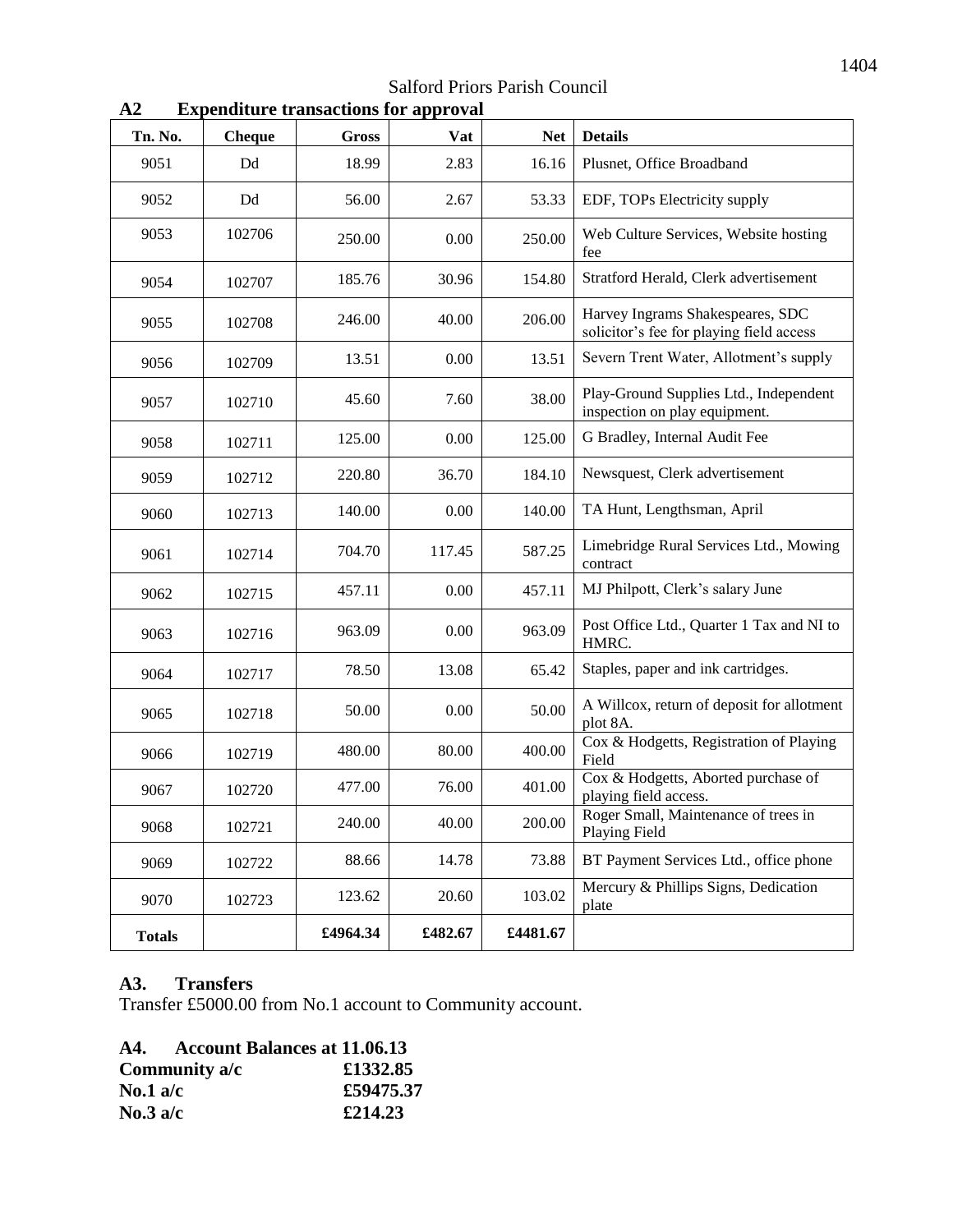Salford Priors Parish Council

| Tn. No.       | <b>Cheque</b> | Gross    | <b>Vat</b> | <b>Net</b> | <b>Details</b>                                                               |
|---------------|---------------|----------|------------|------------|------------------------------------------------------------------------------|
| 9051          | Dd            | 18.99    | 2.83       | 16.16      | Plusnet, Office Broadband                                                    |
| 9052          | Dd            | 56.00    | 2.67       | 53.33      | EDF, TOPs Electricity supply                                                 |
| 9053          | 102706        | 250.00   | 0.00       | 250.00     | Web Culture Services, Website hosting<br>fee                                 |
| 9054          | 102707        | 185.76   | 30.96      | 154.80     | Stratford Herald, Clerk advertisement                                        |
| 9055          | 102708        | 246.00   | 40.00      | 206.00     | Harvey Ingrams Shakespeares, SDC<br>solicitor's fee for playing field access |
| 9056          | 102709        | 13.51    | 0.00       | 13.51      | Severn Trent Water, Allotment's supply                                       |
| 9057          | 102710        | 45.60    | 7.60       | 38.00      | Play-Ground Supplies Ltd., Independent<br>inspection on play equipment.      |
| 9058          | 102711        | 125.00   | 0.00       | 125.00     | G Bradley, Internal Audit Fee                                                |
| 9059          | 102712        | 220.80   | 36.70      | 184.10     | Newsquest, Clerk advertisement                                               |
| 9060          | 102713        | 140.00   | 0.00       | 140.00     | TA Hunt, Lengthsman, April                                                   |
| 9061          | 102714        | 704.70   | 117.45     | 587.25     | Limebridge Rural Services Ltd., Mowing<br>contract                           |
| 9062          | 102715        | 457.11   | 0.00       | 457.11     | MJ Philpott, Clerk's salary June                                             |
| 9063          | 102716        | 963.09   | 0.00       | 963.09     | Post Office Ltd., Quarter 1 Tax and NI to<br>HMRC.                           |
| 9064          | 102717        | 78.50    | 13.08      | 65.42      | Staples, paper and ink cartridges.                                           |
| 9065          | 102718        | 50.00    | 0.00       | 50.00      | A Willcox, return of deposit for allotment<br>plot 8A.                       |
| 9066          | 102719        | 480.00   | 80.00      | 400.00     | Cox & Hodgetts, Registration of Playing<br>Field                             |
| 9067          | 102720        | 477.00   | 76.00      | 401.00     | Cox & Hodgetts, Aborted purchase of<br>playing field access.                 |
| 9068          | 102721        | 240.00   | 40.00      | 200.00     | Roger Small, Maintenance of trees in<br><b>Playing Field</b>                 |
| 9069          | 102722        | 88.66    | 14.78      | 73.88      | BT Payment Services Ltd., office phone                                       |
| 9070          | 102723        | 123.62   | 20.60      | 103.02     | Mercury & Phillips Signs, Dedication<br>plate                                |
| <b>Totals</b> |               | £4964.34 | £482.67    | £4481.67   |                                                                              |

**A2 Expenditure transactions for approval**

#### **A3. Transfers**

Transfer £5000.00 from No.1 account to Community account.

|                   | A4. Account Balances at 11.06.13 |           |
|-------------------|----------------------------------|-----------|
|                   | Community a/c                    | £1332.85  |
| No.1 a/c          |                                  | £59475.37 |
| $\text{No.3 a/c}$ |                                  | £214.23   |